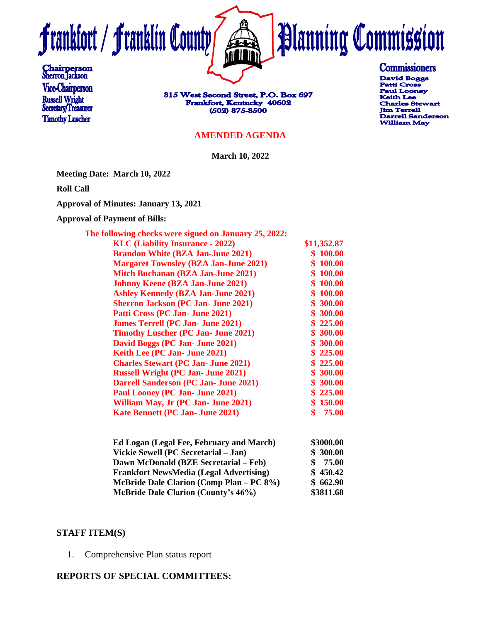



815 West Second Street, P.O. Box 697 Frankfort, Kentucky 40602 (502) 875-8500

#### **AMENDED AGENDA**

**March 10, 2022**

**Meeting Date: March 10, 2022**

**Roll Call**

**Approval of Minutes: January 13, 2021**

**Approval of Payment of Bills:**

| The following checks were signed on January 25, 2022: |             |
|-------------------------------------------------------|-------------|
| <b>KLC</b> (Liability Insurance - 2022)               | \$11,352.87 |
| <b>Brandon White (BZA Jan-June 2021)</b>              | \$100.00    |
| <b>Margaret Townsley (BZA Jan-June 2021)</b>          | \$100.00    |
| <b>Mitch Buchanan (BZA Jan-June 2021)</b>             | \$100.00    |
| <b>Johnny Keene (BZA Jan-June 2021)</b>               | \$100.00    |
| <b>Ashley Kennedy (BZA Jan-June 2021)</b>             | \$100.00    |
| <b>Sherron Jackson (PC Jan- June 2021)</b>            | \$300.00    |
| Patti Cross (PC Jan- June 2021)                       | \$300.00    |
| <b>James Terrell (PC Jan- June 2021)</b>              | \$225.00    |
| <b>Timothy Luscher (PC Jan- June 2021)</b>            | \$300.00    |
| David Boggs (PC Jan- June 2021)                       | \$300.00    |
| Keith Lee (PC Jan- June 2021)                         | \$225.00    |
| <b>Charles Stewart (PC Jan- June 2021)</b>            | \$225.00    |
| <b>Russell Wright (PC Jan- June 2021)</b>             | \$300.00    |
| <b>Darrell Sanderson (PC Jan- June 2021)</b>          | \$300.00    |
| Paul Looney (PC Jan- June 2021)                       | \$225.00    |
| William May, Jr (PC Jan- June 2021)                   | \$150.00    |
| <b>Kate Bennett (PC Jan- June 2021)</b>               | 75.00       |
|                                                       |             |

| Ed Logan (Legal Fee, February and March)       | \$3000.00 |
|------------------------------------------------|-----------|
| Vickie Sewell (PC Secretarial – Jan)           | \$300.00  |
| Dawn McDonald (BZE Secretarial – Feb)          | 75.00     |
| <b>Frankfort NewsMedia (Legal Advertising)</b> | \$450.42  |
| McBride Dale Clarion (Comp Plan – PC 8%)       | \$662.90  |
| <b>McBride Dale Clarion (County's 46%)</b>     | \$3811.68 |

#### **STAFF ITEM(S)**

1. Comprehensive Plan status report

#### **REPORTS OF SPECIAL COMMITTEES:**

# **Commissioners**

**Planning Commission** 

David Boggs **Patti Cross Paul Looney Keith Lee Charles Stewart Jim Terrell Darrell Sanderson William May**